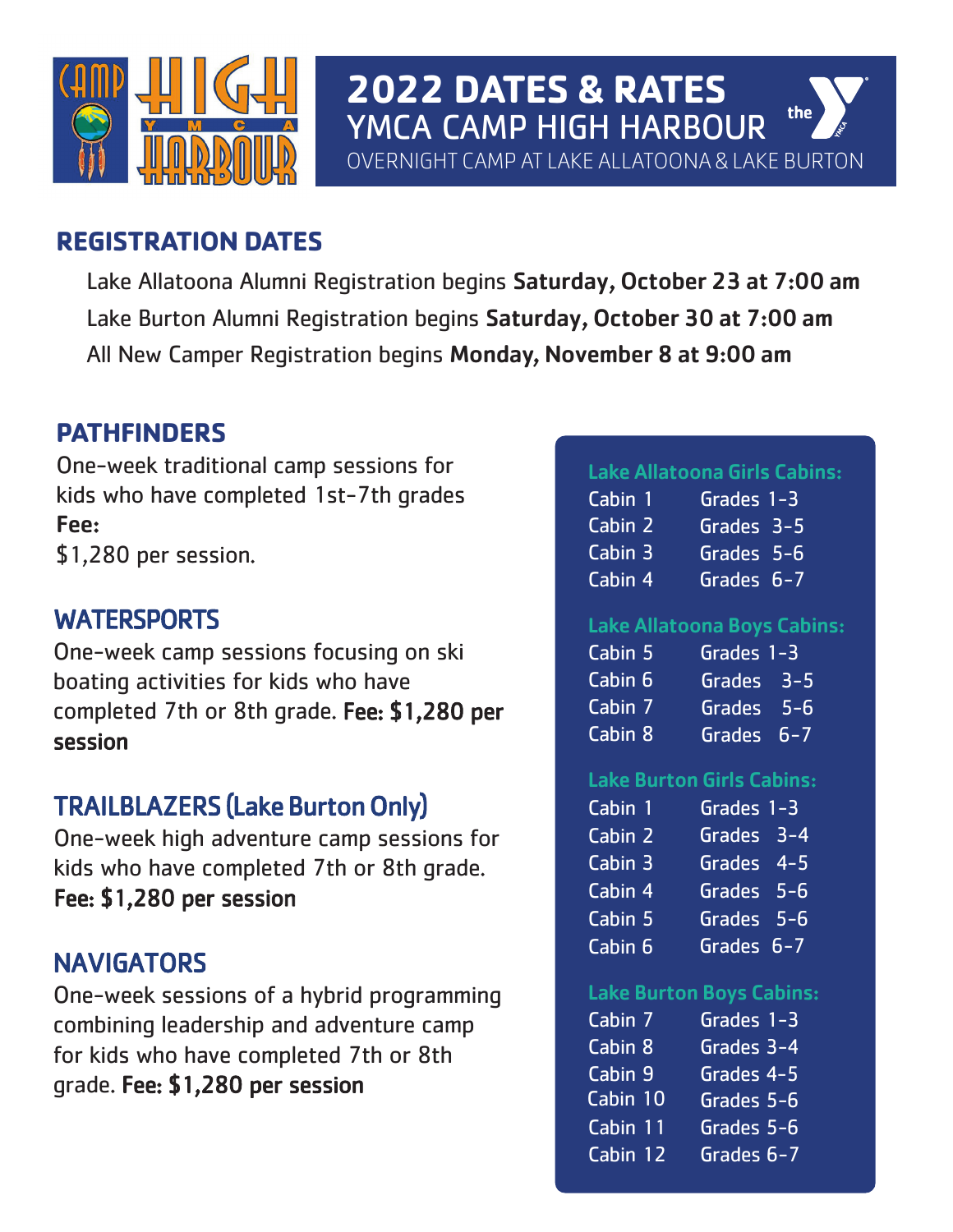

# **2022 DATES & RATES**  YMCA CAMP HIGH HARBOUR OVERNIGHT CAMP AT LAKE ALLATOONA & LAKE BURTON

### **REGISTRATION DATES**

Lake Allatoona Alumni Registration begins Saturday, October 23 at 7:00 am Lake Burton Alumni Registration begins Saturday, October 30 at 7:00 am All New Camper Registration begins Monday, November 8 at 9:00 am

### **PATHFINDERS**

One-week traditional camp sessions for kids who have completed 1st-7th grades Fee: \$1,280 per session.

### **WATERSPORTS**

One-week camp sessions focusing on ski boating activities for kids who have completed 7th or 8th grade. Fee: \$1,280 per session

# TRAILBLAZERS (Lake Burton Only)

One-week high adventure camp sessions for kids who have completed 7th or 8th grade. Fee: \$1,280 per session

### **NAVIGATORS**

One-week sessions of a hybrid programming combining leadership and adventure camp for kids who have completed 7th or 8th grade. Fee: \$1,280 per session

#### Lake Allatoona Girls Cabins:

| Cabin 1 | Grades 1-3 |  |
|---------|------------|--|
| Cabin 2 | Grades 3-5 |  |
| Cabin 3 | Grades 5-6 |  |
| Cabin 4 | Grades 6-7 |  |

#### Lake Allatoona Boys Cabins:

| Cabin 5 | Grades 1-3 |  |
|---------|------------|--|
| Cabin 6 | Grades 3-5 |  |
| Cabin 7 | Grades 5-6 |  |
| Cabin 8 | Grades 6-7 |  |

#### Lake Burton Girls Cabins:

| Cabin 1            | Grades 1-3 |
|--------------------|------------|
| Cabin 2            | Grades 3-4 |
| Cabin 3            | Grades 4-5 |
| Cabin <sub>4</sub> | Grades 5-6 |
| Cabin 5            | Grades 5-6 |
| Cabin 6            | Grades 6-7 |

#### Lake Burton Boys Cabins:

| Cabin 7                        | Grades 1-3 |
|--------------------------------|------------|
| Cabin <sub>8</sub>             | Grades 3-4 |
| Cabin 9                        | Grades 4-5 |
| Cabin 10                       | Grades 5-6 |
| $\overline{\mathsf{Cabin}}$ 11 | Grades 5-6 |
| Cabin 12                       | Grades 6-7 |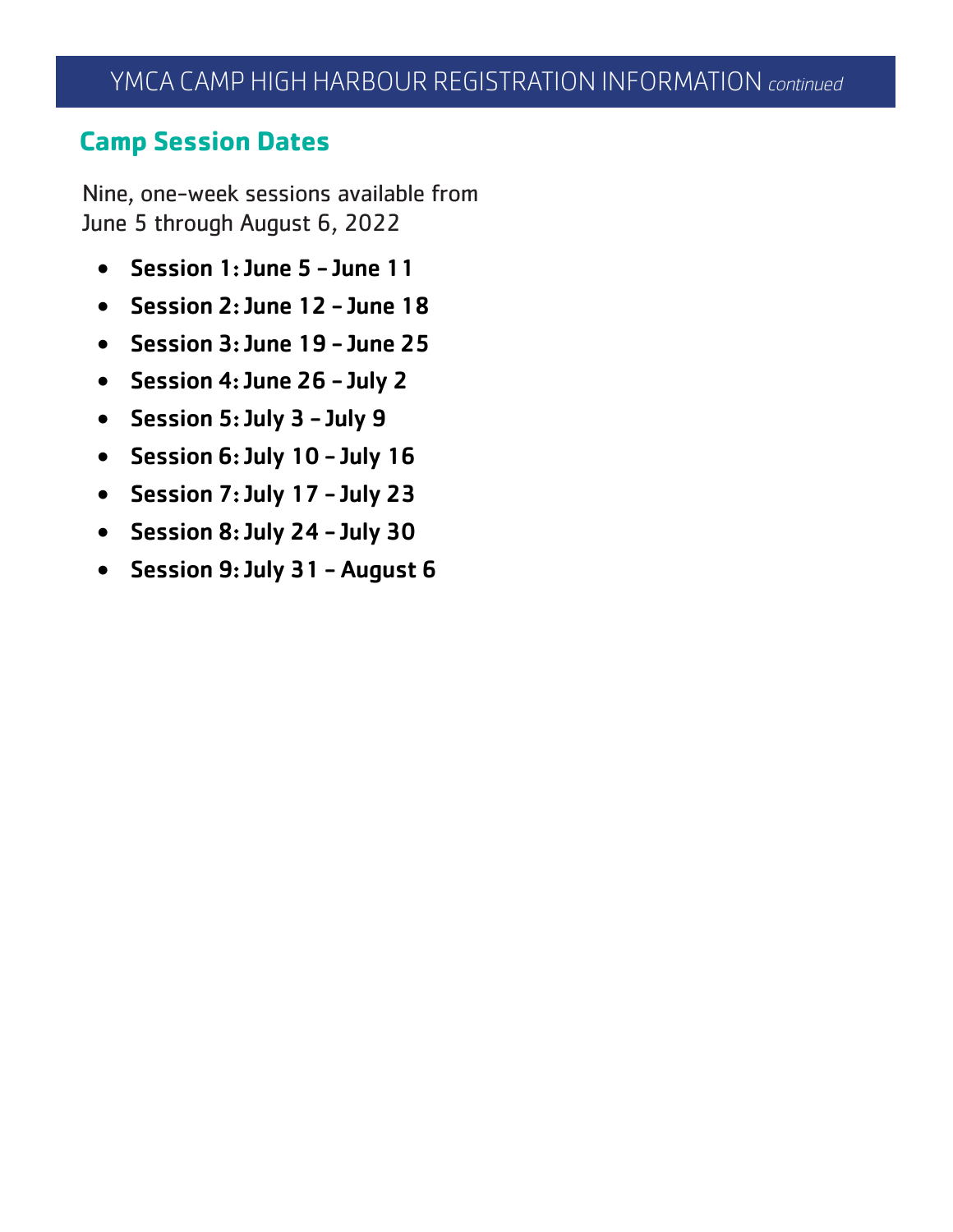### **Camp Session Dates**

Nine, one-week sessions available from June 5 through August 6, 2022

- Session 1: June 5 June 11
- Session 2: June 12 June 18
- Session 3: June 19 June 25
- Session 4: June 26 July 2
- Session 5: July 3 July 9
- Session 6: July 10 July 16
- Session 7: July 17 July 23
- Session 8: July 24 July 30
- Session 9: July 31 August 6